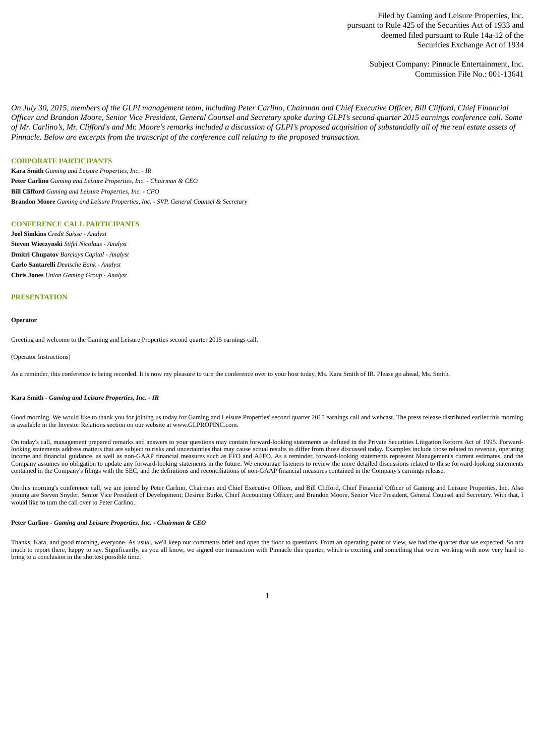Filed by Gaming and Leisure Properties, Inc. pursuant to Rule 425 of the Securities Act of 1933 and deemed filed pursuant to Rule 14a-12 of the Securities Exchange Act of 1934

> Subject Company: Pinnacle Entertainment, Inc. Commission File No.: 001-13641

On July 30, 2015, members of the GLPI management team, including Peter Carlino, Chairman and Chief Executive Officer, Bill Clifford, Chief Financial Officer and Brandon Moore, Senior Vice President, General Counsel and Secretary spoke during GLPI's second quarter 2015 earnings conference call. Some of Mr. Carlino's, Mr. Clifford's and Mr. Moore's remarks included a discussion of GLPI's proposed acquisition of substantially all of the real estate assets of *Pinnacle. Below are excerpts from the transcript of the conference call relating to the proposed transaction.*

# **CORPORATE PARTICIPANTS**

**Kara Smith** *Gaming and Leisure Properties, Inc. - IR* **Peter Carlino** *Gaming and Leisure Properties, Inc. - Chairman & CEO* **Bill Clifford** *Gaming and Leisure Properties, Inc. - CFO* **Brandon Moore** *Gaming and Leisure Properties, Inc. - SVP, General Counsel & Secretary*

## **CONFERENCE CALL PARTICIPANTS**

**Joel Simkins** *Credit Suisse - Analyst* **Steven Wieczynski** *Stifel Nicolaus - Analyst* **Dmitri Chupatov** *Barclays Capital - Analyst* **Carlo Santarelli** *Deutsche Bank - Analyst* **Chris Jones** *Union Gaming Group - Analyst*

### **PRESENTATION**

#### **Operator**

Greeting and welcome to the Gaming and Leisure Properties second quarter 2015 earnings call.

#### (Operator Instructions)

As a reminder, this conference is being recorded. It is now my pleasure to turn the conference over to your host today, Ms. Kara Smith of IR. Please go ahead, Ms. Smith.

## **Kara Smith** *- Gaming and Leisure Properties, Inc. - IR*

Good morning. We would like to thank you for joining us today for Gaming and Leisure Properties' second quarter 2015 earnings call and webcast. The press release distributed earlier this morning is available in the Investor Relations section on our website at www.GLPROPINC.com.

On today's call, management prepared remarks and answers to your questions may contain forward-looking statements as defined in the Private Securities Litigation Reform Act of 1995. Forwardlooking statements address matters that are subject to risks and uncertainties that may cause actual results to differ from those discussed today. Examples include those related to revenue, operating income and financial guidance, as well as non-GAAP financial measures such as FFO and AFFO. As a reminder, forward-looking statements represent Management's current estimates, and the Company assumes no obligation to update any forward-looking statements in the future. We encourage listeners to review the more detailed discussions related to these forward-looking statements contained in the Company's filings with the SEC, and the definitions and reconciliations of non-GAAP financial measures contained in the Company's earnings release.

On this morning's conference call, we are joined by Peter Carlino, Chairman and Chief Executive Officer, and Bill Clifford, Chief Financial Officer of Gaming and Leisure Properties, Inc. Also joining are Steven Snyder, Senior Vice President of Development; Desiree Burke, Chief Accounting Officer; and Brandon Moore, Senior Vice President, General Counsel and Secretary. With that, I would like to turn the call over to Peter Carlino.

## **Peter Carlino** *- Gaming and Leisure Properties, Inc. - Chairman & CEO*

Thanks, Kara, and good morning, everyone. As usual, we'll keep our comments brief and open the floor to questions. From an operating point of view, we had the quarter that we expected. So not much to report there, happy to say. Significantly, as you all know, we signed our transaction with Pinnacle this quarter, which is exciting and something that we're working with now very hard to bring to a conclusion in the shortest possible time.

1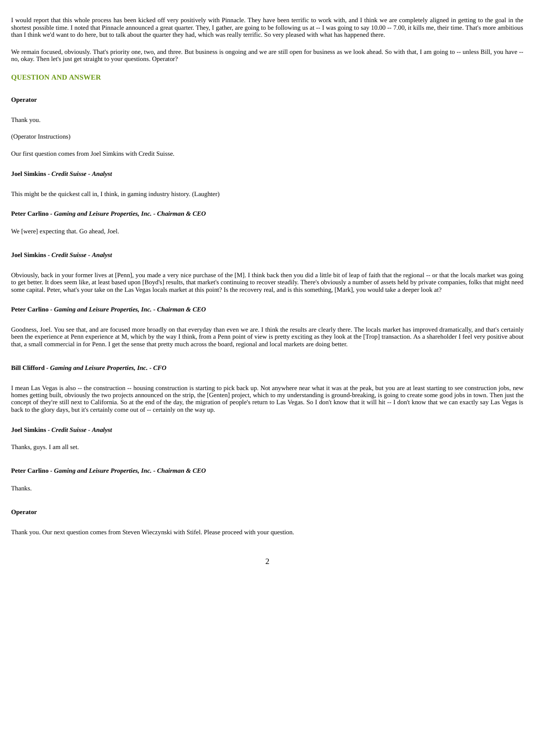I would report that this whole process has been kicked off very positively with Pinnacle. They have been terrific to work with, and I think we are completely aligned in getting to the goal in the shortest possible time. I noted that Pinnacle announced a great quarter. They, I gather, are going to be following us at -- I was going to say 10.00 -- 7.00, it kills me, their time. That's more ambitious than I think we'd want to do here, but to talk about the quarter they had, which was really terrific. So very pleased with what has happened there.

We remain focused, obviously. That's priority one, two, and three. But business is ongoing and we are still open for business as we look ahead. So with that, I am going to -- unless Bill, you have -no, okay. Then let's just get straight to your questions. Operator?

## **QUESTION AND ANSWER**

#### **Operator**

Thank you.

(Operator Instructions)

Our first question comes from Joel Simkins with Credit Suisse.

# **Joel Simkins** *- Credit Suisse - Analyst*

This might be the quickest call in, I think, in gaming industry history. (Laughter)

# **Peter Carlino** *- Gaming and Leisure Properties, Inc. - Chairman & CEO*

We [were] expecting that. Go ahead, Joel.

## **Joel Simkins** *- Credit Suisse - Analyst*

Obviously, back in your former lives at [Penn], you made a very nice purchase of the [M]. I think back then you did a little bit of leap of faith that the regional -- or that the locals market was going to get better. It does seem like, at least based upon [Boyd's] results, that market's continuing to recover steadily. There's obviously a number of assets held by private companies, folks that might need some capital. Peter, what's your take on the Las Vegas locals market at this point? Is the recovery real, and is this something, [Mark], you would take a deeper look at?

## **Peter Carlino** *- Gaming and Leisure Properties, Inc. - Chairman & CEO*

Goodness, Joel. You see that, and are focused more broadly on that everyday than even we are. I think the results are clearly there. The locals market has improved dramatically, and that's certainly been the experience at Penn experience at M, which by the way I think, from a Penn point of view is pretty exciting as they look at the [Trop] transaction. As a shareholder I feel very positive about that, a small commercial in for Penn. I get the sense that pretty much across the board, regional and local markets are doing better.

## **Bill Clifford** *- Gaming and Leisure Properties, Inc. - CFO*

I mean Las Vegas is also -- the construction -- housing construction is starting to pick back up. Not anywhere near what it was at the peak, but you are at least starting to see construction jobs, new homes getting built, obviously the two projects announced on the strip, the [Genten] project, which to my understanding is ground-breaking, is going to create some good jobs in town. Then just the concept of they're still next to California. So at the end of the day, the migration of people's return to Las Vegas. So I don't know that it will hit -- I don't know that we can exactly say Las Vegas is back to the glory days, but it's certainly come out of -- certainly on the way up.

#### **Joel Simkins** *- Credit Suisse - Analyst*

Thanks, guys. I am all set.

#### **Peter Carlino** *- Gaming and Leisure Properties, Inc. - Chairman & CEO*

Thanks.

### **Operator**

Thank you. Our next question comes from Steven Wieczynski with Stifel. Please proceed with your question.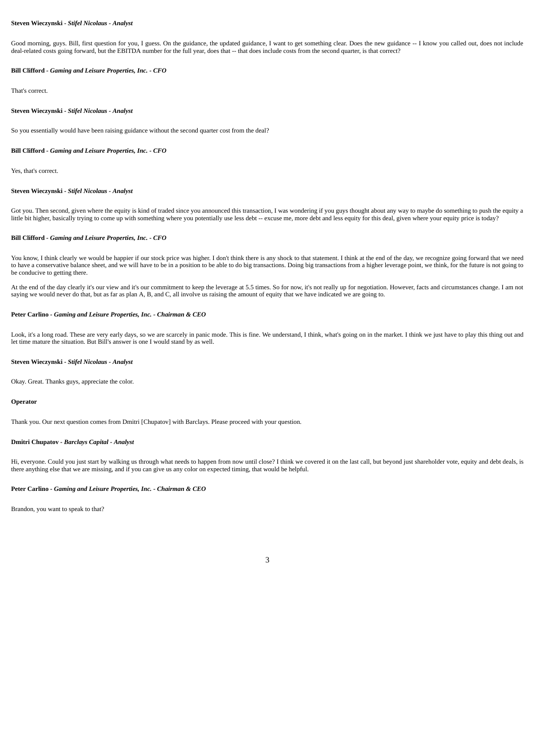## **Steven Wieczynski** *- Stifel Nicolaus - Analyst*

Good morning, guys. Bill, first question for you, I guess. On the guidance, the updated guidance, I want to get something clear. Does the new guidance -- I know you called out, does not include deal-related costs going forward, but the EBITDA number for the full year, does that -- that does include costs from the second quarter, is that correct?

## **Bill Clifford** *- Gaming and Leisure Properties, Inc. - CFO*

That's correct.

#### **Steven Wieczynski** *- Stifel Nicolaus - Analyst*

So you essentially would have been raising guidance without the second quarter cost from the deal?

## **Bill Clifford** *- Gaming and Leisure Properties, Inc. - CFO*

Yes, that's correct.

## **Steven Wieczynski** *- Stifel Nicolaus - Analyst*

Got you. Then second, given where the equity is kind of traded since you announced this transaction, I was wondering if you guys thought about any way to maybe do something to push the equity a little bit higher, basically trying to come up with something where you potentially use less debt -- excuse me, more debt and less equity for this deal, given where your equity price is today?

# **Bill Clifford** *- Gaming and Leisure Properties, Inc. - CFO*

You know, I think clearly we would be happier if our stock price was higher. I don't think there is any shock to that statement. I think at the end of the day, we recognize going forward that we need to have a conservative balance sheet, and we will have to be in a position to be able to do big transactions. Doing big transactions from a higher leverage point, we think, for the future is not going to be conducive to getting there.

At the end of the day clearly it's our view and it's our commitment to keep the leverage at 5.5 times. So for now, it's not really up for negotiation. However, facts and circumstances change. I am not saying we would never do that, but as far as plan A, B, and C, all involve us raising the amount of equity that we have indicated we are going to.

### **Peter Carlino** *- Gaming and Leisure Properties, Inc. - Chairman & CEO*

Look, it's a long road. These are very early days, so we are scarcely in panic mode. This is fine. We understand, I think, what's going on in the market. I think we just have to play this thing out and let time mature the situation. But Bill's answer is one I would stand by as well.

### **Steven Wieczynski** *- Stifel Nicolaus - Analyst*

Okay. Great. Thanks guys, appreciate the color.

#### **Operator**

Thank you. Our next question comes from Dmitri [Chupatov] with Barclays. Please proceed with your question.

#### **Dmitri Chupatov** *- Barclays Capital - Analyst*

Hi, everyone. Could you just start by walking us through what needs to happen from now until close? I think we covered it on the last call, but beyond just shareholder vote, equity and debt deals, is there anything else that we are missing, and if you can give us any color on expected timing, that would be helpful.

## **Peter Carlino** *- Gaming and Leisure Properties, Inc. - Chairman & CEO*

Brandon, you want to speak to that?

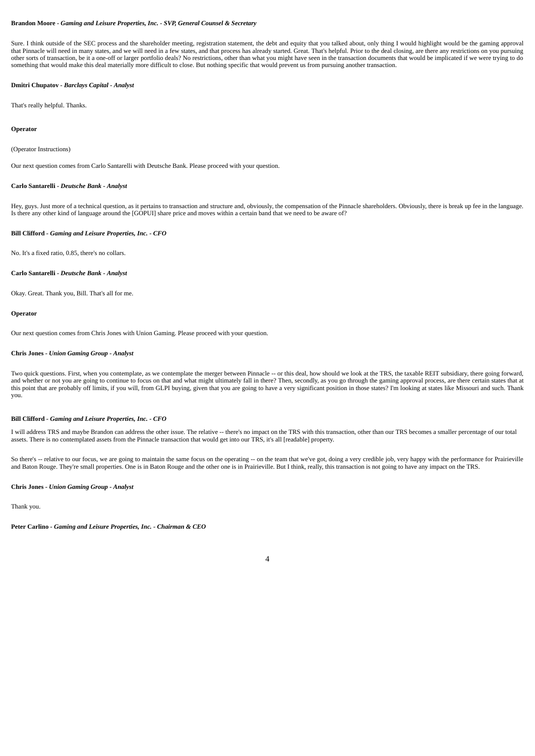## **Brandon Moore** *- Gaming and Leisure Properties, Inc. - SVP, General Counsel & Secretary*

Sure. I think outside of the SEC process and the shareholder meeting, registration statement, the debt and equity that you talked about, only thing I would highlight would be the gaming approval that Pinnacle will need in many states, and we will need in a few states, and that process has already started. Great. That's helpful. Prior to the deal closing, are there any restrictions on you pursuing other sorts of transaction, be it a one-off or larger portfolio deals? No restrictions, other than what you might have seen in the transaction documents that would be implicated if we were trying to do something that would make this deal materially more difficult to close. But nothing specific that would prevent us from pursuing another transaction.

## **Dmitri Chupatov** *- Barclays Capital - Analyst*

That's really helpful. Thanks.

## **Operator**

## (Operator Instructions)

Our next question comes from Carlo Santarelli with Deutsche Bank. Please proceed with your question.

#### **Carlo Santarelli** *- Deutsche Bank - Analyst*

Hey, guys. Just more of a technical question, as it pertains to transaction and structure and, obviously, the compensation of the Pinnacle shareholders. Obviously, there is break up fee in the language. Is there any other kind of language around the [GOPUI] share price and moves within a certain band that we need to be aware of?

#### **Bill Clifford** *- Gaming and Leisure Properties, Inc. - CFO*

No. It's a fixed ratio, 0.85, there's no collars.

## **Carlo Santarelli** *- Deutsche Bank - Analyst*

Okay. Great. Thank you, Bill. That's all for me.

### **Operator**

Our next question comes from Chris Jones with Union Gaming. Please proceed with your question.

#### **Chris Jones** *- Union Gaming Group - Analyst*

Two quick questions. First, when you contemplate, as we contemplate the merger between Pinnacle -- or this deal, how should we look at the TRS, the taxable REIT subsidiary, there going forward, and whether or not you are going to continue to focus on that and what might ultimately fall in there? Then, secondly, as you go through the gaming approval process, are there certain states that at this point that are probably off limits, if you will, from GLPI buying, given that you are going to have a very significant position in those states? I'm looking at states like Missouri and such. Thank you.

## **Bill Clifford** *- Gaming and Leisure Properties, Inc. - CFO*

I will address TRS and maybe Brandon can address the other issue. The relative -- there's no impact on the TRS with this transaction, other than our TRS becomes a smaller percentage of our total assets. There is no contemplated assets from the Pinnacle transaction that would get into our TRS, it's all [readable] property.

So there's -- relative to our focus, we are going to maintain the same focus on the operating -- on the team that we've got, doing a very credible job, very happy with the performance for Prairieville and Baton Rouge. They're small properties. One is in Baton Rouge and the other one is in Prairieville. But I think, really, this transaction is not going to have any impact on the TRS.

## **Chris Jones** *- Union Gaming Group - Analyst*

Thank you.

**Peter Carlino** *- Gaming and Leisure Properties, Inc. - Chairman & CEO*

## $\overline{A}$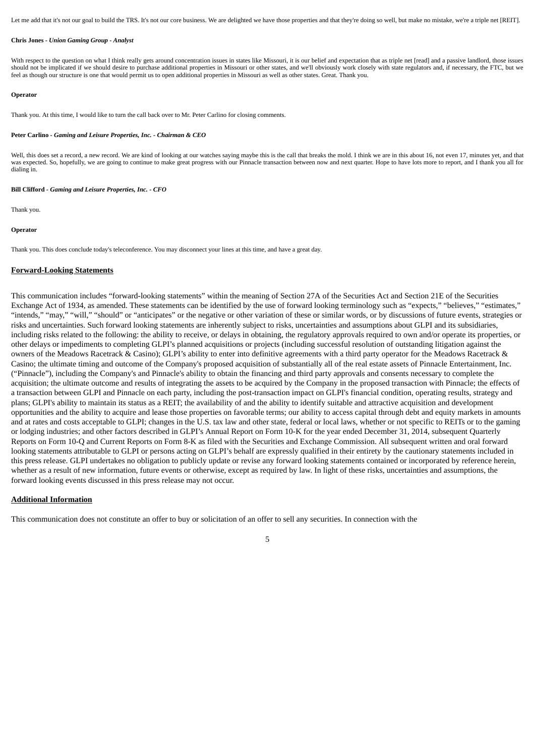Let me add that it's not our goal to build the TRS. It's not our core business. We are delighted we have those properties and that they're doing so well, but make no mistake, we're a triple net [REIT].

#### **Chris Jones** *- Union Gaming Group - Analyst*

With respect to the question on what I think really gets around concentration issues in states like Missouri, it is our belief and expectation that as triple net [read] and a passive landlord, those issues should not be implicated if we should desire to purchase additional properties in Missouri or other states, and we'll obviously work closely with state regulators and, if necessary, the FTC, but we feel as though our structure is one that would permit us to open additional properties in Missouri as well as other states. Great. Thank you.

## **Operator**

Thank you. At this time, I would like to turn the call back over to Mr. Peter Carlino for closing comments.

#### **Peter Carlino** *- Gaming and Leisure Properties, Inc. - Chairman & CEO*

Well, this does set a record, a new record. We are kind of looking at our watches saying maybe this is the call that breaks the mold. I think we are in this about 16, not even 17, minutes yet, and that was expected. So, hopefully, we are going to continue to make great progress with our Pinnacle transaction between now and next quarter. Hope to have lots more to report, and I thank you all for dialing in.

#### **Bill Clifford** *- Gaming and Leisure Properties, Inc. - CFO*

Thank you.

# **Operator**

Thank you. This does conclude today's teleconference. You may disconnect your lines at this time, and have a great day.

## **Forward-Looking Statements**

This communication includes "forward-looking statements" within the meaning of Section 27A of the Securities Act and Section 21E of the Securities Exchange Act of 1934, as amended. These statements can be identified by the use of forward looking terminology such as "expects," "believes," "estimates," "intends," "may," "will," "should" or "anticipates" or the negative or other variation of these or similar words, or by discussions of future events, strategies or risks and uncertainties. Such forward looking statements are inherently subject to risks, uncertainties and assumptions about GLPI and its subsidiaries, including risks related to the following: the ability to receive, or delays in obtaining, the regulatory approvals required to own and/or operate its properties, or other delays or impediments to completing GLPI's planned acquisitions or projects (including successful resolution of outstanding litigation against the owners of the Meadows Racetrack & Casino); GLPI's ability to enter into definitive agreements with a third party operator for the Meadows Racetrack & Casino; the ultimate timing and outcome of the Company's proposed acquisition of substantially all of the real estate assets of Pinnacle Entertainment, Inc. ("Pinnacle"), including the Company's and Pinnacle's ability to obtain the financing and third party approvals and consents necessary to complete the acquisition; the ultimate outcome and results of integrating the assets to be acquired by the Company in the proposed transaction with Pinnacle; the effects of a transaction between GLPI and Pinnacle on each party, including the post-transaction impact on GLPI's financial condition, operating results, strategy and plans; GLPI's ability to maintain its status as a REIT; the availability of and the ability to identify suitable and attractive acquisition and development opportunities and the ability to acquire and lease those properties on favorable terms; our ability to access capital through debt and equity markets in amounts and at rates and costs acceptable to GLPI; changes in the U.S. tax law and other state, federal or local laws, whether or not specific to REITs or to the gaming or lodging industries; and other factors described in GLPI's Annual Report on Form 10-K for the year ended December 31, 2014, subsequent Quarterly Reports on Form 10-Q and Current Reports on Form 8-K as filed with the Securities and Exchange Commission. All subsequent written and oral forward looking statements attributable to GLPI or persons acting on GLPI's behalf are expressly qualified in their entirety by the cautionary statements included in this press release. GLPI undertakes no obligation to publicly update or revise any forward looking statements contained or incorporated by reference herein, whether as a result of new information, future events or otherwise, except as required by law. In light of these risks, uncertainties and assumptions, the forward looking events discussed in this press release may not occur.

## **Additional Information**

This communication does not constitute an offer to buy or solicitation of an offer to sell any securities. In connection with the

# 5